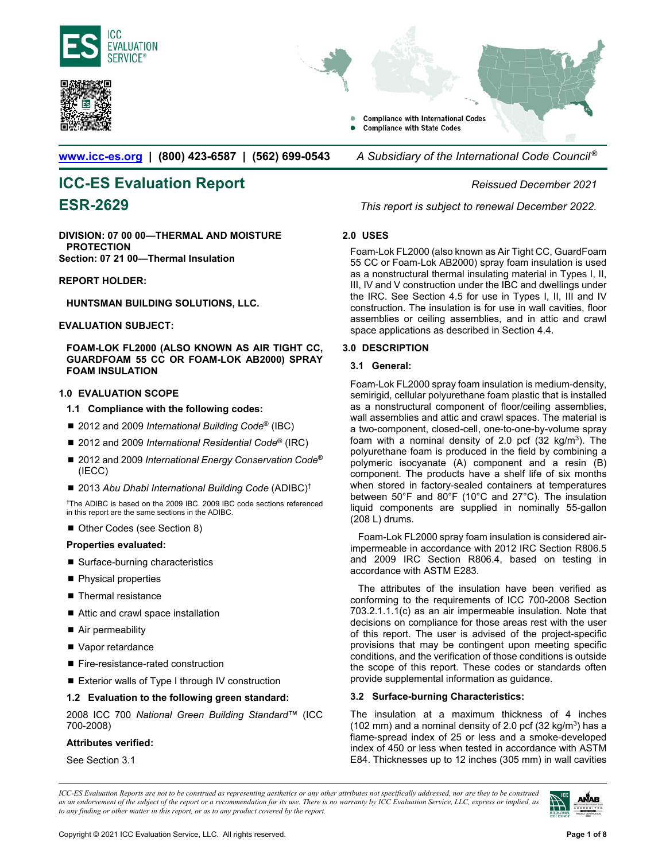





**[www.icc-es.org](http://www.icc-es.org/) | (800) 423-6587 | (562) 699-0543** *A Subsidiary of the International Code Council ®* 

# **ICC-ES Evaluation Report** *Reissued December 2021*

**DIVISION: 07 00 00—THERMAL AND MOISTURE PROTECTION Section: 07 21 00—Thermal Insulation** 

**REPORT HOLDER:** 

**HUNTSMAN BUILDING SOLUTIONS, LLC.** 

#### **EVALUATION SUBJECT:**

#### **FOAM-LOK FL2000 (ALSO KNOWN AS AIR TIGHT CC, GUARDFOAM 55 CC OR FOAM-LOK AB2000) SPRAY FOAM INSULATION**

#### **1.0 EVALUATION SCOPE**

- **1.1 Compliance with the following codes:**
- 2012 and 2009 *International Building Code<sup>®</sup>* (IBC)
- 2012 and 2009 *International Residential Code*<sup>®</sup> (IRC)
- 2012 and 2009 *International Energy Conservation Code<sup>®</sup>* (IECC)
- 2013 Abu Dhabi International Building Code (ADIBC)<sup>†</sup>

†The ADIBC is based on the 2009 IBC. 2009 IBC code sections referenced in this report are the same sections in the ADIBC.

■ Other Codes (see Section 8)

#### **Properties evaluated:**

- Surface-burning characteristics
- **Physical properties**
- $\blacksquare$  Thermal resistance
- Attic and crawl space installation
- Air permeability
- Vapor retardance
- Fire-resistance-rated construction
- Exterior walls of Type I through IV construction

#### **1.2 Evaluation to the following green standard:**

2008 ICC 700 *National Green Building Standard*™ (ICC 700-2008)

#### **Attributes verified:**

See Section 3.1

**ESR-2629** *This report is subject to renewal December 2022.* 

#### **2.0 USES**

Foam-Lok FL2000 (also known as Air Tight CC, GuardFoam 55 CC or Foam-Lok AB2000) spray foam insulation is used as a nonstructural thermal insulating material in Types I, II, III, IV and V construction under the IBC and dwellings under the IRC. See Section 4.5 for use in Types I, II, III and IV construction. The insulation is for use in wall cavities, floor assemblies or ceiling assemblies, and in attic and crawl space applications as described in Section 4.4.

#### **3.0 DESCRIPTION**

### **3.1 General:**

Foam-Lok FL2000 spray foam insulation is medium-density, semirigid, cellular polyurethane foam plastic that is installed as a nonstructural component of floor/ceiling assemblies, wall assemblies and attic and crawl spaces. The material is a two-component, closed-cell, one-to-one-by-volume spray foam with a nominal density of 2.0 pcf  $(32 \text{ kg/m}^3)$ . The polyurethane foam is produced in the field by combining a polymeric isocyanate (A) component and a resin (B) component. The products have a shelf life of six months when stored in factory-sealed containers at temperatures between 50°F and 80°F (10°C and 27°C). The insulation liquid components are supplied in nominally 55-gallon (208 L) drums.

Foam-Lok FL2000 spray foam insulation is considered airimpermeable in accordance with 2012 IRC Section R806.5 and 2009 IRC Section R806.4, based on testing in accordance with ASTM E283.

The attributes of the insulation have been verified as conforming to the requirements of ICC 700-2008 Section 703.2.1.1.1(c) as an air impermeable insulation. Note that decisions on compliance for those areas rest with the user of this report. The user is advised of the project-specific provisions that may be contingent upon meeting specific conditions, and the verification of those conditions is outside the scope of this report. These codes or standards often provide supplemental information as guidance.

#### **3.2 Surface-burning Characteristics:**

The insulation at a maximum thickness of 4 inches (102 mm) and a nominal density of 2.0 pcf (32 kg/m<sup>3</sup>) has a flame-spread index of 25 or less and a smoke-developed index of 450 or less when tested in accordance with ASTM E84. Thicknesses up to 12 inches (305 mm) in wall cavities

*ICC-ES Evaluation Reports are not to be construed as representing aesthetics or any other attributes not specifically addressed, nor are they to be construed as an endorsement of the subject of the report or a recommendation for its use. There is no warranty by ICC Evaluation Service, LLC, express or implied, as to any finding or other matter in this report, or as to any product covered by the report.*

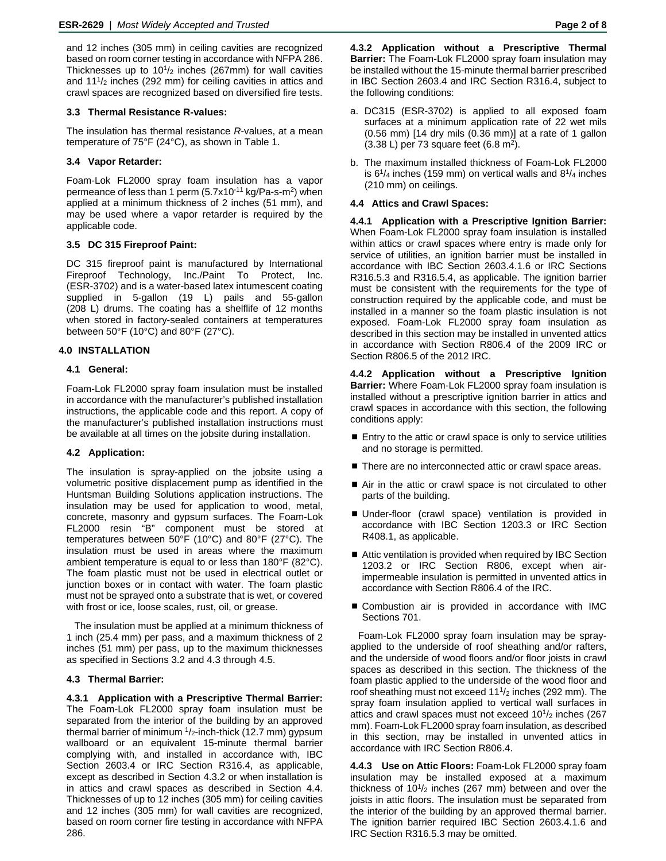and 12 inches (305 mm) in ceiling cavities are recognized based on room corner testing in accordance with NFPA 286. Thicknesses up to  $10^{1/2}$  inches (267mm) for wall cavities and  $11<sup>1</sup>/<sub>2</sub>$  inches (292 mm) for ceiling cavities in attics and crawl spaces are recognized based on diversified fire tests.

#### **3.3 Thermal Resistance R-values:**

The insulation has thermal resistance *R*-values, at a mean temperature of 75°F (24°C), as shown in Table 1.

#### **3.4 Vapor Retarder:**

Foam-Lok FL2000 spray foam insulation has a vapor permeance of less than 1 perm  $(5.7x10^{-11}$  kg/Pa-s-m<sup>2</sup>) when applied at a minimum thickness of 2 inches (51 mm), and may be used where a vapor retarder is required by the applicable code.

#### **3.5 DC 315 Fireproof Paint:**

DC 315 fireproof paint is manufactured by International Fireproof Technology, Inc./Paint To Protect, Inc. (ESR-3702) and is a water-based latex intumescent coating supplied in 5-gallon (19 L) pails and 55-gallon (208 L) drums. The coating has a shelflife of 12 months when stored in factory-sealed containers at temperatures between 50°F (10°C) and 80°F (27°C).

#### **4.0 INSTALLATION**

#### **4.1 General:**

Foam-Lok FL2000 spray foam insulation must be installed in accordance with the manufacturer's published installation instructions, the applicable code and this report. A copy of the manufacturer's published installation instructions must be available at all times on the jobsite during installation.

#### **4.2 Application:**

The insulation is spray-applied on the jobsite using a volumetric positive displacement pump as identified in the Huntsman Building Solutions application instructions. The insulation may be used for application to wood, metal, concrete, masonry and gypsum surfaces. The Foam-Lok FL2000 resin "B" component must be stored at temperatures between 50°F (10°C) and 80°F (27°C). The insulation must be used in areas where the maximum ambient temperature is equal to or less than 180°F (82°C). The foam plastic must not be used in electrical outlet or junction boxes or in contact with water. The foam plastic must not be sprayed onto a substrate that is wet, or covered with frost or ice, loose scales, rust, oil, or grease.

The insulation must be applied at a minimum thickness of 1 inch (25.4 mm) per pass, and a maximum thickness of 2 inches (51 mm) per pass, up to the maximum thicknesses as specified in Sections 3.2 and 4.3 through 4.5.

#### **4.3 Thermal Barrier:**

**4.3.1 Application with a Prescriptive Thermal Barrier:** The Foam-Lok FL2000 spray foam insulation must be separated from the interior of the building by an approved thermal barrier of minimum  $1/2$ -inch-thick (12.7 mm) gypsum wallboard or an equivalent 15-minute thermal barrier complying with, and installed in accordance with, IBC Section 2603.4 or IRC Section R316.4, as applicable, except as described in Section 4.3.2 or when installation is in attics and crawl spaces as described in Section 4.4. Thicknesses of up to 12 inches (305 mm) for ceiling cavities and 12 inches (305 mm) for wall cavities are recognized, based on room corner fire testing in accordance with NFPA 286.

- a. DC315 (ESR-3702) is applied to all exposed foam surfaces at a minimum application rate of 22 wet mils  $(0.56$  mm) [14 dry mils  $(0.36$  mm)] at a rate of 1 gallon  $(3.38 L)$  per 73 square feet  $(6.8 m<sup>2</sup>)$ .
- b. The maximum installed thickness of Foam-Lok FL2000 is  $6^{1}/4$  inches (159 mm) on vertical walls and  $8^{1}/4$  inches (210 mm) on ceilings.

#### **4.4 Attics and Crawl Spaces:**

**4.4.1 Application with a Prescriptive Ignition Barrier:** When Foam-Lok FL2000 spray foam insulation is installed within attics or crawl spaces where entry is made only for service of utilities, an ignition barrier must be installed in accordance with IBC Section 2603.4.1.6 or IRC Sections R316.5.3 and R316.5.4, as applicable. The ignition barrier must be consistent with the requirements for the type of construction required by the applicable code, and must be installed in a manner so the foam plastic insulation is not exposed. Foam-Lok FL2000 spray foam insulation as described in this section may be installed in unvented attics in accordance with Section R806.4 of the 2009 IRC or Section R806.5 of the 2012 IRC.

**4.4.2 Application without a Prescriptive Ignition Barrier:** Where Foam-Lok FL2000 spray foam insulation is installed without a prescriptive ignition barrier in attics and crawl spaces in accordance with this section, the following conditions apply:

- Entry to the attic or crawl space is only to service utilities and no storage is permitted.
- There are no interconnected attic or crawl space areas.
- Air in the attic or crawl space is not circulated to other parts of the building.
- Under-floor (crawl space) ventilation is provided in accordance with IBC Section 1203.3 or IRC Section R408.1, as applicable.
- Attic ventilation is provided when required by IBC Section 1203.2 or IRC Section R806, except when airimpermeable insulation is permitted in unvented attics in accordance with Section R806.4 of the IRC.
- Combustion air is provided in accordance with IMC Sections 701.

Foam-Lok FL2000 spray foam insulation may be sprayapplied to the underside of roof sheathing and/or rafters, and the underside of wood floors and/or floor joists in crawl spaces as described in this section. The thickness of the foam plastic applied to the underside of the wood floor and roof sheathing must not exceed  $11<sup>1</sup>/2$  inches (292 mm). The spray foam insulation applied to vertical wall surfaces in attics and crawl spaces must not exceed  $10^{1/2}$  inches (267) mm). Foam-Lok FL2000 spray foam insulation, as described in this section, may be installed in unvented attics in accordance with IRC Section R806.4.

**4.4.3 Use on Attic Floors:** Foam-Lok FL2000 spray foam insulation may be installed exposed at a maximum thickness of  $10^{1/2}$  inches (267 mm) between and over the joists in attic floors. The insulation must be separated from the interior of the building by an approved thermal barrier. The ignition barrier required IBC Section 2603.4.1.6 and IRC Section R316.5.3 may be omitted.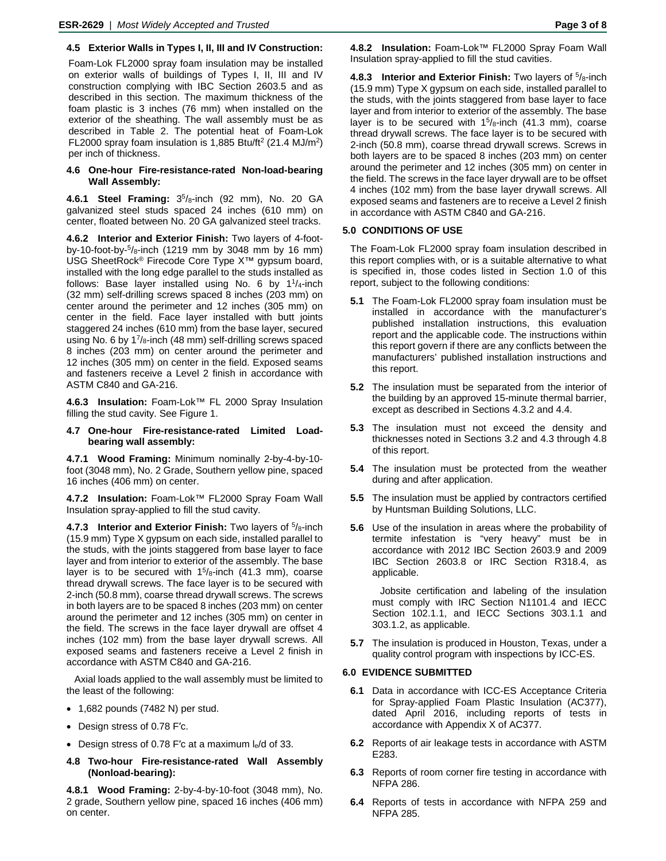### **4.5 Exterior Walls in Types I, II, III and IV Construction:**

Foam-Lok FL2000 spray foam insulation may be installed on exterior walls of buildings of Types I, II, III and IV construction complying with IBC Section 2603.5 and as described in this section. The maximum thickness of the foam plastic is 3 inches (76 mm) when installed on the exterior of the sheathing. The wall assembly must be as described in Table 2. The potential heat of Foam-Lok FL2000 spray foam insulation is 1,885 Btu/ft2 (21.4 MJ/m2) per inch of thickness.

#### **4.6 One-hour Fire-resistance-rated Non-load-bearing Wall Assembly:**

**4.6.1 Steel Framing:** 35/8-inch (92 mm), No. 20 GA galvanized steel studs spaced 24 inches (610 mm) on center, floated between No. 20 GA galvanized steel tracks.

**4.6.2 Interior and Exterior Finish:** Two layers of 4-footby-10-foot-by- $5/8$ -inch (1219 mm by 3048 mm by 16 mm) USG SheetRock® Firecode Core Type X™ gypsum board, installed with the long edge parallel to the studs installed as follows: Base layer installed using No. 6 by  $1\frac{1}{4}$ -inch (32 mm) self-drilling screws spaced 8 inches (203 mm) on center around the perimeter and 12 inches (305 mm) on center in the field. Face layer installed with butt joints staggered 24 inches (610 mm) from the base layer, secured using No. 6 by 1<sup>7</sup>/8-inch (48 mm) self-drilling screws spaced 8 inches (203 mm) on center around the perimeter and 12 inches (305 mm) on center in the field. Exposed seams and fasteners receive a Level 2 finish in accordance with ASTM C840 and GA-216.

**4.6.3 Insulation:** Foam-Lok™ FL 2000 Spray Insulation filling the stud cavity. See Figure 1.

#### **4.7 One-hour Fire-resistance-rated Limited Loadbearing wall assembly:**

**4.7.1 Wood Framing:** Minimum nominally 2-by-4-by-10 foot (3048 mm), No. 2 Grade, Southern yellow pine, spaced 16 inches (406 mm) on center.

**4.7.2 Insulation:** Foam-Lok™ FL2000 Spray Foam Wall Insulation spray-applied to fill the stud cavity.

**4.7.3 Interior and Exterior Finish:** Two layers of 5/8-inch (15.9 mm) Type X gypsum on each side, installed parallel to the studs, with the joints staggered from base layer to face layer and from interior to exterior of the assembly. The base layer is to be secured with  $1^5$ /8-inch (41.3 mm), coarse thread drywall screws. The face layer is to be secured with 2-inch (50.8 mm), coarse thread drywall screws. The screws in both layers are to be spaced 8 inches (203 mm) on center around the perimeter and 12 inches (305 mm) on center in the field. The screws in the face layer drywall are offset 4 inches (102 mm) from the base layer drywall screws. All exposed seams and fasteners receive a Level 2 finish in accordance with ASTM C840 and GA-216.

Axial loads applied to the wall assembly must be limited to the least of the following:

- 1,682 pounds (7482 N) per stud.
- Design stress of 0.78 F′c.
- Design stress of 0.78 F'c at a maximum le/d of 33.
- **4.8 Two-hour Fire-resistance-rated Wall Assembly (Nonload-bearing):**

**4.8.1 Wood Framing:** 2-by-4-by-10-foot (3048 mm), No. 2 grade, Southern yellow pine, spaced 16 inches (406 mm) on center.

**4.8.2 Insulation:** Foam-Lok™ FL2000 Spray Foam Wall Insulation spray-applied to fill the stud cavities.

**4.8.3 Interior and Exterior Finish:** Two layers of 5/8-inch (15.9 mm) Type X gypsum on each side, installed parallel to the studs, with the joints staggered from base layer to face layer and from interior to exterior of the assembly. The base layer is to be secured with  $15/8$ -inch (41.3 mm), coarse thread drywall screws. The face layer is to be secured with 2-inch (50.8 mm), coarse thread drywall screws. Screws in both layers are to be spaced 8 inches (203 mm) on center around the perimeter and 12 inches (305 mm) on center in the field. The screws in the face layer drywall are to be offset 4 inches (102 mm) from the base layer drywall screws. All exposed seams and fasteners are to receive a Level 2 finish in accordance with ASTM C840 and GA-216.

#### **5.0 CONDITIONS OF USE**

The Foam-Lok FL2000 spray foam insulation described in this report complies with, or is a suitable alternative to what is specified in, those codes listed in Section 1.0 of this report, subject to the following conditions:

- **5.1** The Foam-Lok FL2000 spray foam insulation must be installed in accordance with the manufacturer's published installation instructions, this evaluation report and the applicable code. The instructions within this report govern if there are any conflicts between the manufacturers' published installation instructions and this report.
- **5.2** The insulation must be separated from the interior of the building by an approved 15-minute thermal barrier, except as described in Sections 4.3.2 and 4.4.
- **5.3** The insulation must not exceed the density and thicknesses noted in Sections 3.2 and 4.3 through 4.8 of this report.
- **5.4** The insulation must be protected from the weather during and after application.
- **5.5** The insulation must be applied by contractors certified by Huntsman Building Solutions, LLC.
- **5.6** Use of the insulation in areas where the probability of termite infestation is "very heavy" must be in accordance with 2012 IBC Section 2603.9 and 2009 IBC Section 2603.8 or IRC Section R318.4, as applicable.

Jobsite certification and labeling of the insulation must comply with IRC Section N1101.4 and IECC Section 102.1.1, and IECC Sections 303.1.1 and 303.1.2, as applicable.

**5.7** The insulation is produced in Houston, Texas, under a quality control program with inspections by ICC-ES.

#### **6.0 EVIDENCE SUBMITTED**

- **6.1** Data in accordance with ICC-ES Acceptance Criteria for Spray-applied Foam Plastic Insulation (AC377), dated April 2016, including reports of tests in accordance with Appendix X of AC377.
- **6.2** Reports of air leakage tests in accordance with ASTM E283.
- **6.3** Reports of room corner fire testing in accordance with NFPA 286.
- **6.4** Reports of tests in accordance with NFPA 259 and NFPA 285.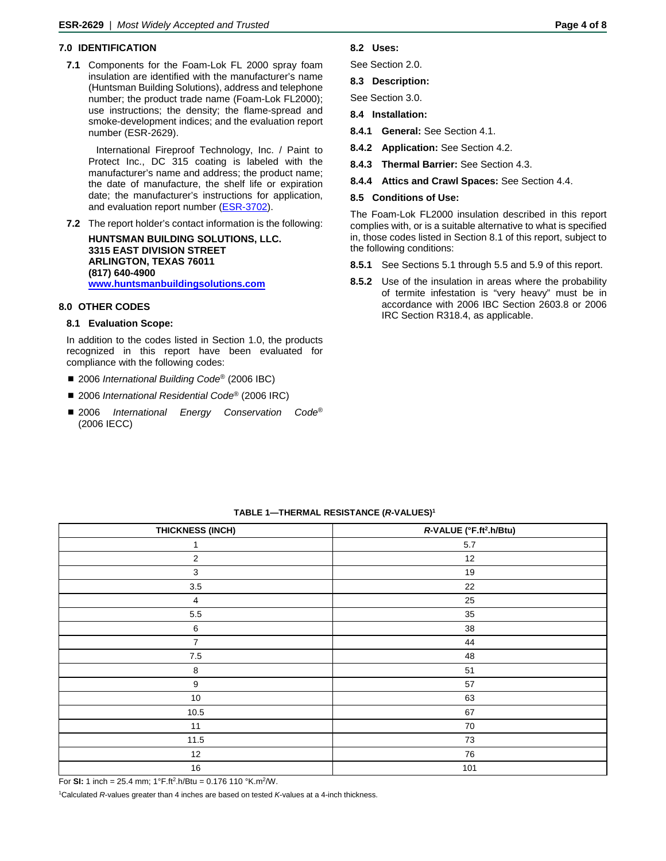#### **7.0 IDENTIFICATION**

**7.1** Components for the Foam-Lok FL 2000 spray foam insulation are identified with the manufacturer's name (Huntsman Building Solutions), address and telephone number; the product trade name (Foam-Lok FL2000); use instructions; the density; the flame-spread and smoke-development indices; and the evaluation report number (ESR-2629).

International Fireproof Technology, Inc. / Paint to Protect Inc., DC 315 coating is labeled with the manufacturer's name and address; the product name; the date of manufacture, the shelf life or expiration date; the manufacturer's instructions for application, and evaluation report number [\(ESR-3702\)](http://www.icc-es.org/Reports/pdf_files/load_file.cfm?file_type=pdf&file_name=ESR-3702.pdf).

**7.2** The report holder's contact information is the following:

**HUNTSMAN BUILDING SOLUTIONS, LLC. 3315 EAST DIVISION STREET ARLINGTON, TEXAS 76011 (817) 640-4900 [www.huntsmanbuildingsolutions.com](http://www.huntsmanbuildingsolutions.com/)**

#### **8.0 OTHER CODES**

#### **8.1 Evaluation Scope:**

In addition to the codes listed in Section 1.0, the products recognized in this report have been evaluated for compliance with the following codes:

- 2006 *International Building Code<sup>®</sup>* (2006 IBC)
- 2006 *International Residential Code<sup>®</sup> (2006 IRC)*
- 2006 *International Energy Conservation Code®* (2006 IECC)

#### **8.2 Uses:**

See Section 2.0.

**8.3 Description:**

See Section 3.0.

**8.4 Installation:**

**8.4.1 General:** See Section 4.1.

- **8.4.2 Application:** See Section 4.2.
- **8.4.3 Thermal Barrier:** See Section 4.3.
- **8.4.4 Attics and Crawl Spaces:** See Section 4.4.

#### **8.5 Conditions of Use:**

The Foam-Lok FL2000 insulation described in this report complies with, or is a suitable alternative to what is specified in, those codes listed in Section 8.1 of this report, subject to the following conditions:

- **8.5.1** See Sections 5.1 through 5.5 and 5.9 of this report.
- **8.5.2** Use of the insulation in areas where the probability of termite infestation is "very heavy" must be in accordance with 2006 IBC Section 2603.8 or 2006 IRC Section R318.4, as applicable.

| THICKNESS (INCH) | R-VALUE (°F.ft <sup>2</sup> .h/Btu) |
|------------------|-------------------------------------|
| 1                | $5.7\,$                             |
| $\overline{2}$   | 12                                  |
| $\mathbf{3}$     | 19                                  |
| $3.5\,$          | 22                                  |
| $\overline{4}$   | 25                                  |
| $5.5\,$          | 35                                  |
| $\,6\,$          | 38                                  |
| $\overline{7}$   | 44                                  |
| $\bf 7.5$        | 48                                  |
| $\bf 8$          | 51                                  |
| $\boldsymbol{9}$ | 57                                  |
| $10\,$           | 63                                  |
| $10.5$           | 67                                  |
| 11               | 70                                  |
| 11.5             | 73                                  |
| 12               | 76                                  |
| 16               | 101                                 |

**TABLE 1—THERMAL RESISTANCE (***R-***VALUES) 1**

For **SI:** 1 inch = 25.4 mm;  $1^{\circ}$ F.ft<sup>2</sup>.h/Btu = 0.176 110  $^{\circ}$ K.m<sup>2</sup>/W.

1Calculated *R*-values greater than 4 inches are based on tested *K*-values at a 4-inch thickness.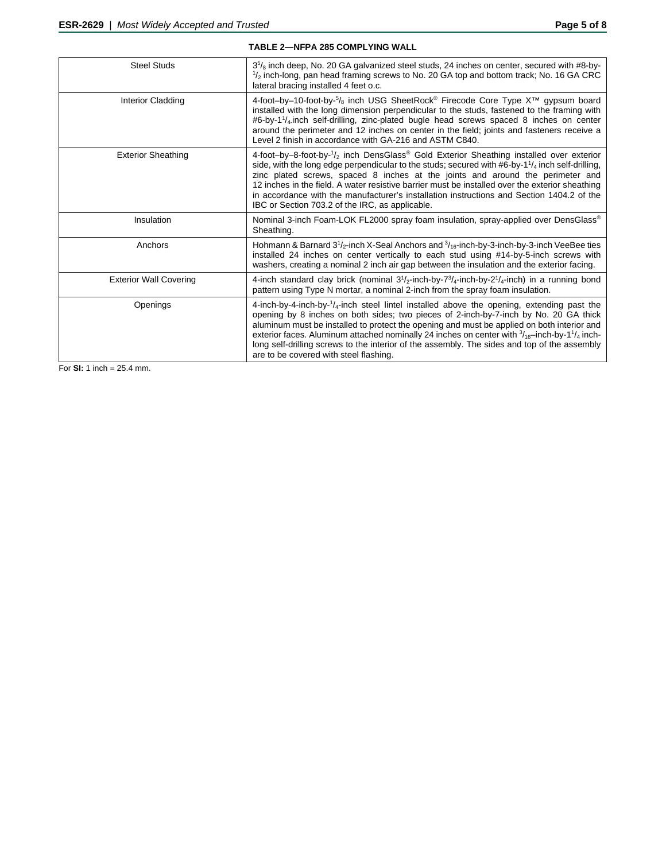| <b>TABLE 2-NFPA 285 COMPLYING WALL</b> |                                                                                                                                                                                                                                                                                                                                                                                                                                                                                                                                                                     |
|----------------------------------------|---------------------------------------------------------------------------------------------------------------------------------------------------------------------------------------------------------------------------------------------------------------------------------------------------------------------------------------------------------------------------------------------------------------------------------------------------------------------------------------------------------------------------------------------------------------------|
| <b>Steel Studs</b>                     | $3\frac{5}{8}$ inch deep, No. 20 GA galvanized steel studs, 24 inches on center, secured with #8-by-<br>$\frac{1}{2}$ inch-long, pan head framing screws to No. 20 GA top and bottom track; No. 16 GA CRC<br>lateral bracing installed 4 feet o.c.                                                                                                                                                                                                                                                                                                                  |
| <b>Interior Cladding</b>               | 4-foot-by-10-foot-by-5/ <sub>8</sub> inch USG SheetRock <sup>®</sup> Firecode Core Type X <sup>™</sup> gypsum board<br>installed with the long dimension perpendicular to the studs, fastened to the framing with<br>#6-by-1 <sup>1</sup> / <sub>4</sub> inch self-drilling, zinc-plated bugle head screws spaced 8 inches on center<br>around the perimeter and 12 inches on center in the field; joints and fasteners receive a<br>Level 2 finish in accordance with GA-216 and ASTM C840.                                                                        |
| <b>Exterior Sheathing</b>              | 4-foot-by-8-foot-by-1/ <sub>2</sub> inch DensGlass <sup>®</sup> Gold Exterior Sheathing installed over exterior<br>side, with the long edge perpendicular to the studs; secured with #6-by-1 $\frac{1}{4}$ inch self-drilling,<br>zinc plated screws, spaced 8 inches at the joints and around the perimeter and<br>12 inches in the field. A water resistive barrier must be installed over the exterior sheathing<br>in accordance with the manufacturer's installation instructions and Section 1404.2 of the<br>IBC or Section 703.2 of the IRC, as applicable. |
| Insulation                             | Nominal 3-inch Foam-LOK FL2000 spray foam insulation, spray-applied over DensGlass®<br>Sheathing.                                                                                                                                                                                                                                                                                                                                                                                                                                                                   |
| Anchors                                | Hohmann & Barnard $3^{1}/_{2}$ -inch X-Seal Anchors and $^{3}/_{16}$ -inch-by-3-inch-by-3-inch VeeBee ties<br>installed 24 inches on center vertically to each stud using #14-by-5-inch screws with<br>washers, creating a nominal 2 inch air gap between the insulation and the exterior facing.                                                                                                                                                                                                                                                                   |
| <b>Exterior Wall Covering</b>          | 4-inch standard clay brick (nominal $3^{1/2}$ -inch-by- $7^{3/4}$ -inch-by- $2^{1/4}$ -inch) in a running bond<br>pattern using Type N mortar, a nominal 2-inch from the spray foam insulation.                                                                                                                                                                                                                                                                                                                                                                     |
| Openings                               | 4-inch-by-4-inch-by- $\frac{1}{4}$ -inch steel lintel installed above the opening, extending past the<br>opening by 8 inches on both sides; two pieces of 2-inch-by-7-inch by No. 20 GA thick<br>aluminum must be installed to protect the opening and must be applied on both interior and<br>exterior faces. Aluminum attached nominally 24 inches on center with $\frac{3}{16}$ -inch-by-1 $\frac{1}{4}$ inch-<br>long self-drilling screws to the interior of the assembly. The sides and top of the assembly<br>are to be covered with steel flashing.         |

For **SI:** 1 inch = 25.4 mm.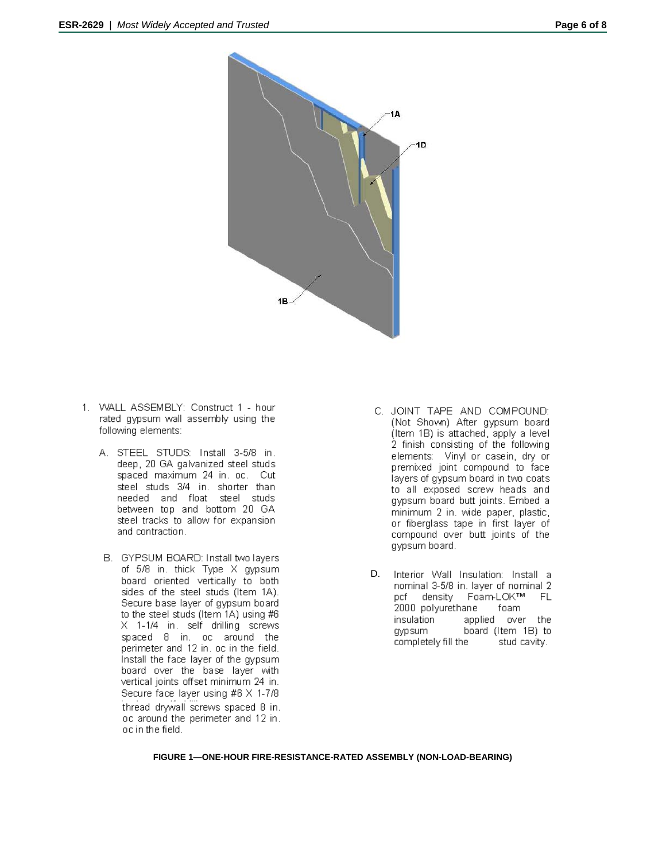

- 1. WALL ASSEMBLY: Construct 1 hour rated gypsum wall assembly using the following elements:
	- A. STEEL STUDS: Install 3-5/8 in. deep, 20 GA galvanized steel studs spaced maximum 24 in. oc. Cut steel studs 3/4 in. shorter than needed and float steel studs between top and bottom 20 GA steel tracks to allow for expansion and contraction.
	- B. GYPSUM BOARD: Install two layers of 5/8 in. thick Type X gypsum board oriented vertically to both sides of the steel studs (Item 1A). Secure base layer of gypsum board to the steel studs (Item 1A) using #6 X 1-1/4 in. self drilling screws spaced 8 in. oc around the<br>perimeter and 12 in. oc in the field. Install the face layer of the gypsum board over the base layer with vertical joints offset minimum 24 in. Secure face layer using #6 X 1-7/8 thread drywall screws spaced 8 in. oc around the perimeter and 12 in. oc in the field.
- C. JOINT TAPE AND COMPOUND: (Not Shown) After gypsum board (Item 1B) is attached, apply a level 2 finish consisting of the following elements: Vinyl or casein, dry or premixed joint compound to face layers of gypsum board in two coats to all exposed screw heads and gypsum board butt joints. Embed a minimum 2 in. wide paper, plastic, or fiberglass tape in first layer of compound over butt joints of the gypsum board.
- D.Interior Wall Insulation: Install a nominal 3-5/8 in. layer of nominal 2 pcf density Foam-LOK™ **FL** 2000 polyurethane foam insulation applied over the board (Item 1B) to gypsum completely fill the stud cavity.

**FIGURE 1—ONE-HOUR FIRE-RESISTANCE-RATED ASSEMBLY (NON-LOAD-BEARING)**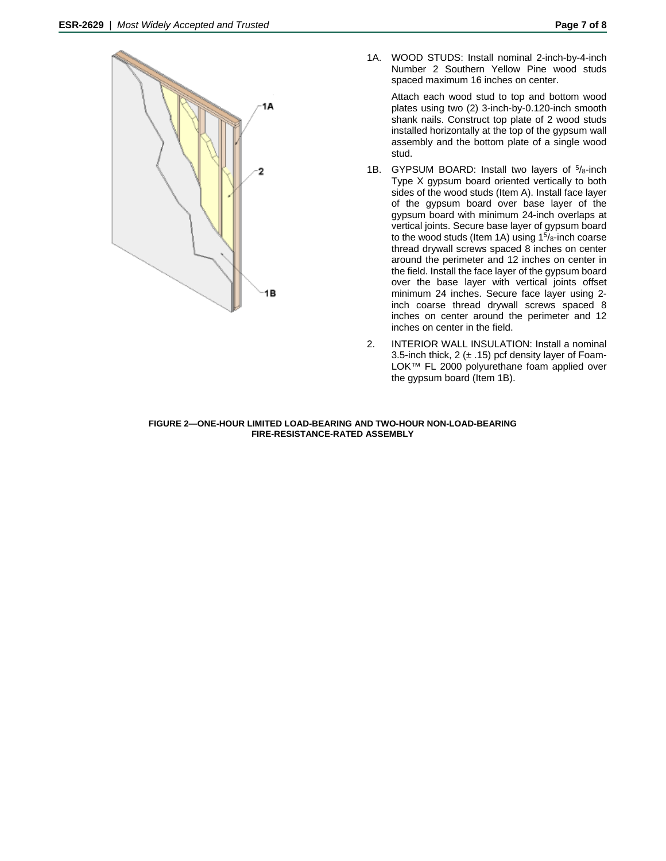

1A. WOOD STUDS: Install nominal 2-inch-by-4-inch Number 2 Southern Yellow Pine wood studs spaced maximum 16 inches on center.

Attach each wood stud to top and bottom wood plates using two (2) 3-inch-by-0.120-inch smooth shank nails. Construct top plate of 2 wood studs installed horizontally at the top of the gypsum wall assembly and the bottom plate of a single wood stud.

- 1B. GYPSUM BOARD: Install two layers of  $5/8$ -inch Type X gypsum board oriented vertically to both sides of the wood studs (Item A). Install face layer of the gypsum board over base layer of the gypsum board with minimum 24-inch overlaps at vertical joints. Secure base layer of gypsum board to the wood studs (Item 1A) using  $1<sup>5</sup>/8$ -inch coarse thread drywall screws spaced 8 inches on center around the perimeter and 12 inches on center in the field. Install the face layer of the gypsum board over the base layer with vertical joints offset minimum 24 inches. Secure face layer using 2 inch coarse thread drywall screws spaced 8 inches on center around the perimeter and 12 inches on center in the field.
- 2. INTERIOR WALL INSULATION: Install a nominal 3.5-inch thick,  $2 (+ .15)$  pcf density layer of Foam-LOK™ FL 2000 polyurethane foam applied over the gypsum board (Item 1B).

#### **FIGURE 2—ONE-HOUR LIMITED LOAD-BEARING AND TWO-HOUR NON-LOAD-BEARING FIRE-RESISTANCE-RATED ASSEMBLY**